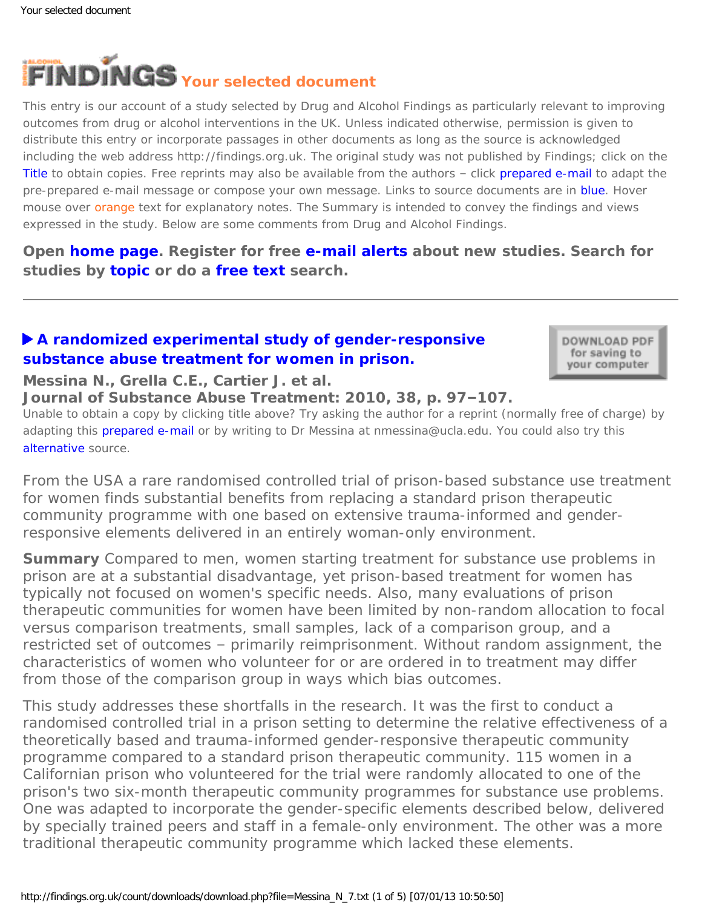<span id="page-0-0"></span>

This entry is our account of a study selected by Drug and Alcohol Findings as particularly relevant to improving outcomes from drug or alcohol interventions in the UK. Unless indicated otherwise, permission is given to distribute this entry or incorporate passages in other documents as long as the source is acknowledged including the web address http://findings.org.uk. The original study was not published by Findings; click on the Title to obtain copies. Free reprints may also be available from the authors – click prepared e-mail to adapt the pre-prepared e-mail message or compose your own message. Links to source documents are in blue. Hover mouse over orange text for explanatory notes. The Summary is intended to convey the findings and views expressed in the study. Below are some comments from Drug and Alcohol Findings.

**Open [home page](https://findings.org.uk/index.php). Register for free [e-mail alerts](https://findings.org.uk/index.php#signUp) about new studies. Search for studies by [topic](https://findings.org.uk/topic_search.htm) or do a [free text](https://findings.org.uk/free_search.htm) search.**

## **[A randomized experimental study of gender-responsive](http://dx.doi.org/10.1016/j.jsat.2009.09.004) [substance abuse treatment for women in prison.](http://dx.doi.org/10.1016/j.jsat.2009.09.004)**

DOWNLOAD PDF for saving to your computer

### **Messina N., Grella C.E., Cartier J. et al.**

**Journal of Substance Abuse Treatment: 2010, 38, p. 97–107.**

Unable to obtain a copy by clicking title above? Try asking the author for a reprint (normally free of charge) by adapting this [prepared e-mail](mailto:nmessina@ucla.edu?Subject=Reprint%20request&body=Dear Dr Messina%0A%0AOn the Drug and Alcohol Findings web site (https://findings.org.uk) I read about your article:%0AMessina N., Grella C.E., Cartier J. et al. A randomized experimental study of gender-responsive substance abuse treatment for women in prison. Journal of Substance Abuse Treatment: 2010, 38, p. 97-107.%0A%0AWould it be possible to for me to be sent a PDF reprint or the manuscript by replying to this e-mail?%0A) or by writing to Dr Messina at nmessina@ucla.edu. You could also try this [alternative](http://centerforgenderandjustice.org/pdf/Messina%20March.pdf) source.

*From the USA a rare randomised controlled trial of prison-based substance use treatment for women finds substantial benefits from replacing a standard prison therapeutic community programme with one based on extensive trauma-informed and genderresponsive elements delivered in an entirely woman-only environment.*

**Summary** Compared to men, women starting treatment for substance use problems in prison are at a substantial disadvantage, yet prison-based treatment for women has typically not focused on women's specific needs. Also, many evaluations of prison therapeutic communities for women have been limited by non-random allocation to focal versus comparison treatments, small samples, lack of a comparison group, and a restricted set of outcomes – primarily reimprisonment. Without random assignment, the characteristics of women who volunteer for or are ordered in to treatment may differ from those of the comparison group in ways which bias outcomes.

This study addresses these shortfalls in the research. It was the first to conduct a randomised controlled trial in a prison setting to determine the relative effectiveness of a theoretically based and trauma-informed gender-responsive therapeutic community programme compared to a standard prison therapeutic community. 115 women in a Californian prison who volunteered for the trial were randomly allocated to one of the prison's two six-month therapeutic community programmes for substance use problems. One was adapted to incorporate the gender-specific elements described below, delivered by specially trained peers and staff in a female-only environment. The other was a more traditional therapeutic community programme which lacked these elements.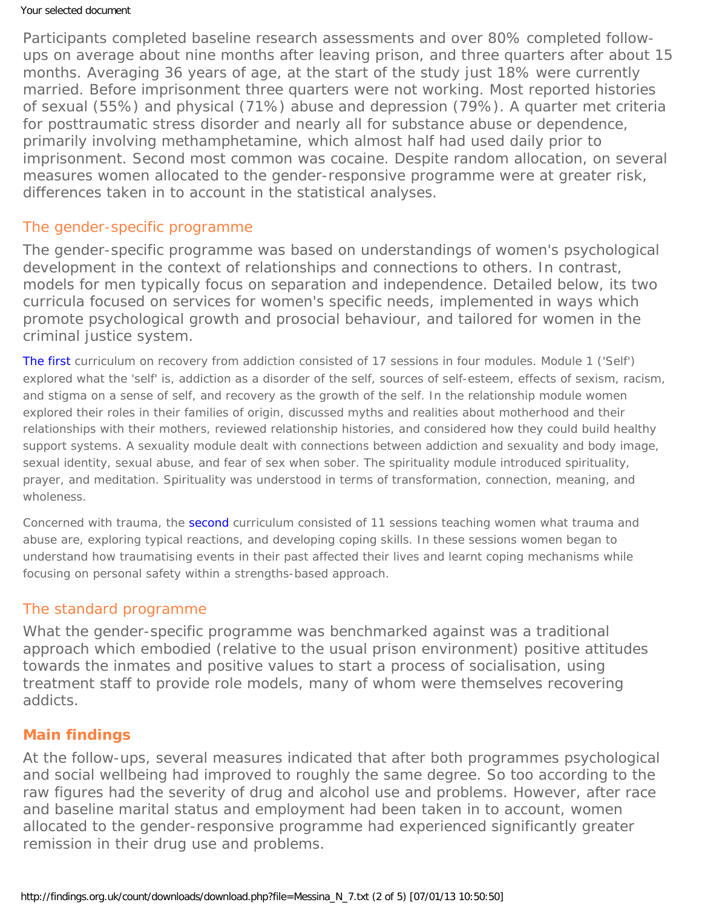Participants completed baseline research assessments and over 80% completed followups on average about nine months after leaving prison, and three quarters after about 15 months. Averaging 36 years of age, at the start of the study just 18% were currently married. Before imprisonment three quarters were not working. Most reported histories of sexual (55%) and physical (71%) abuse and depression (79%). A quarter met criteria for posttraumatic stress disorder and nearly all for substance abuse or dependence, primarily involving methamphetamine, which almost half had used daily prior to imprisonment. Second most common was cocaine. Despite random allocation, on several measures women allocated to the gender-responsive programme were at greater risk, differences taken in to account in the statistical analyses.

### The gender-specific programme

The gender-specific programme was based on understandings of women's psychological development in the context of relationships and connections to others. In contrast, models for men typically focus on separation and independence. Detailed below, its two curricula focused on services for women's specific needs, implemented in ways which promote psychological growth and prosocial behaviour, and tailored for women in the criminal justice system.

[The first](http://www.stephaniecovington.com/books.php) curriculum on recovery from addiction consisted of 17 sessions in four modules. Module 1 ('Self') explored what the 'self' is, addiction as a disorder of the self, sources of self-esteem, effects of sexism, racism, and stigma on a sense of self, and recovery as the growth of the self. In the relationship module women explored their roles in their families of origin, discussed myths and realities about motherhood and their relationships with their mothers, reviewed relationship histories, and considered how they could build healthy support systems. A sexuality module dealt with connections between addiction and sexuality and body image, sexual identity, sexual abuse, and fear of sex when sober. The spirituality module introduced spirituality, prayer, and meditation. Spirituality was understood in terms of transformation, connection, meaning, and wholeness.

Concerned with trauma, the [second](http://www.stephaniecovington.com/books.php) curriculum consisted of 11 sessions teaching women what trauma and abuse are, exploring typical reactions, and developing coping skills. In these sessions women began to understand how traumatising events in their past affected their lives and learnt coping mechanisms while focusing on personal safety within a strengths-based approach.

### The standard programme

What the gender-specific programme was benchmarked against was a traditional approach which embodied (relative to the usual prison environment) positive attitudes towards the inmates and positive values to start a process of socialisation, using treatment staff to provide role models, many of whom were themselves recovering addicts.

### **Main findings**

At the follow-ups, several measures indicated that after both programmes psychological and social wellbeing had improved to roughly the same degree. So too according to the raw figures had the severity of drug and alcohol use and problems. However, after race and baseline marital status and employment had been taken in to account, women allocated to the gender-responsive programme had experienced significantly greater remission in their drug use and problems.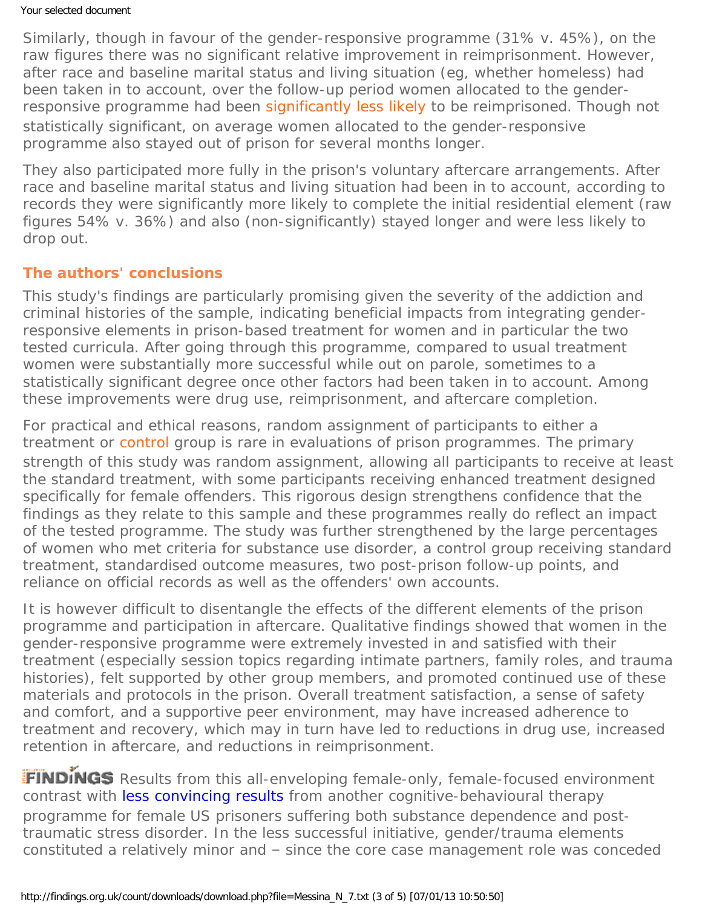Similarly, though in favour of the gender-responsive programme (31% v. 45%), on the raw figures there was no significant relative improvement in reimprisonment. However, after race and baseline marital status and living situation (eg, whether homeless) had been taken in to account, over the follow-up period women allocated to the genderresponsive programme had been [significantly less likely](#page-0-0) to be reimprisoned. Though not statistically significant, on average women allocated to the gender-responsive programme also stayed out of prison for several months longer.

They also participated more fully in the prison's voluntary aftercare arrangements. After race and baseline marital status and living situation had been in to account, according to records they were significantly more likely to complete the initial residential element (raw figures 54% v. 36%) and also (non-significantly) stayed longer and were less likely to drop out.

## **The authors' conclusions**

This study's findings are particularly promising given the severity of the addiction and criminal histories of the sample, indicating beneficial impacts from integrating genderresponsive elements in prison-based treatment for women and in particular the two tested curricula. After going through this programme, compared to usual treatment women were substantially more successful while out on parole, sometimes to a statistically significant degree once other factors had been taken in to account. Among these improvements were drug use, reimprisonment, and aftercare completion.

For practical and ethical reasons, random assignment of participants to either a treatment or [control](#page-0-0) group is rare in evaluations of prison programmes. The primary strength of this study was random assignment, allowing all participants to receive at least the standard treatment, with some participants receiving enhanced treatment designed specifically for female offenders. This rigorous design strengthens confidence that the findings as they relate to this sample and these programmes really do reflect an impact of the tested programme. The study was further strengthened by the large percentages of women who met criteria for substance use disorder, a control group receiving standard treatment, standardised outcome measures, two post-prison follow-up points, and reliance on official records as well as the offenders' own accounts.

It is however difficult to disentangle the effects of the different elements of the prison programme and participation in aftercare. Qualitative findings showed that women in the gender-responsive programme were extremely invested in and satisfied with their treatment (especially session topics regarding intimate partners, family roles, and trauma histories), felt supported by other group members, and promoted continued use of these materials and protocols in the prison. Overall treatment satisfaction, a sense of safety and comfort, and a supportive peer environment, may have increased adherence to treatment and recovery, which may in turn have led to reductions in drug use, increased retention in aftercare, and reductions in reimprisonment.

FINDINGS Results from this all-enveloping female-only, female-focused environment contrast with [less convincing results](https://findings.org.uk/count/downloads/download.php?file=Zlotnick_C_2.txt) from another cognitive-behavioural therapy programme for female US prisoners suffering both substance dependence and posttraumatic stress disorder. In the less successful initiative, gender/trauma elements constituted a relatively minor and – since the core case management role was conceded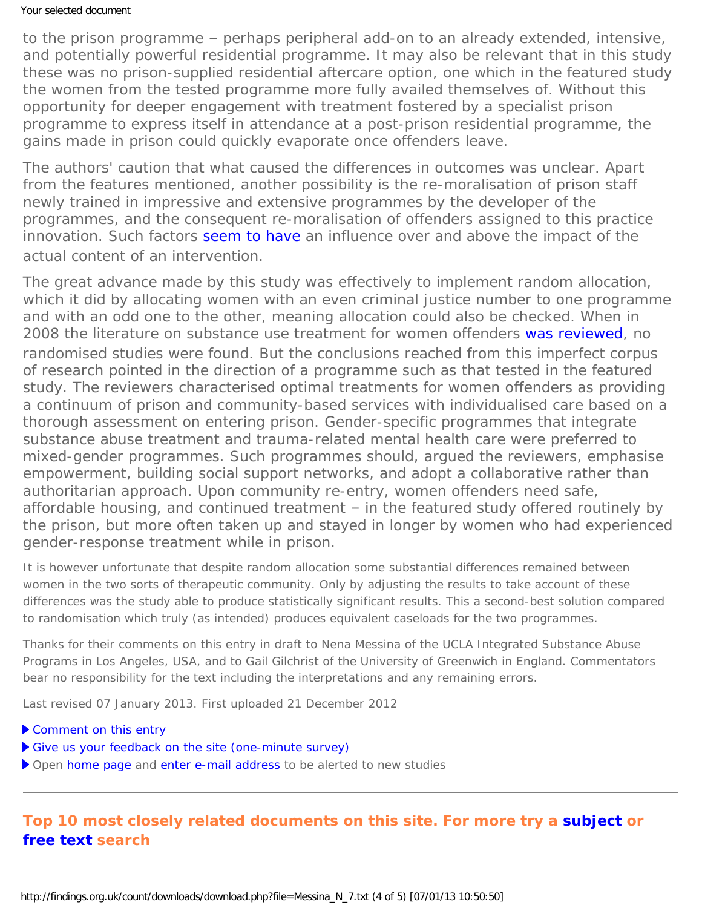to the prison programme – perhaps peripheral add-on to an already extended, intensive, and potentially powerful residential programme. It may also be relevant that in this study these was no prison-supplied residential aftercare option, one which in the featured study the women from the tested programme more fully availed themselves of. Without this opportunity for deeper engagement with treatment fostered by a specialist prison programme to express itself in attendance at a post-prison residential programme, the gains made in prison could quickly evaporate once offenders leave.

The authors' caution that what caused the differences in outcomes was unclear. Apart from the features mentioned, another possibility is the re-moralisation of prison staff newly trained in impressive and extensive programmes by the developer of the programmes, and the consequent re-moralisation of offenders assigned to this practice innovation. Such factors [seem to have](http://dx.doi.org/10.1111/j.1521-0391.2001.tb00523.x) an influence over and above the impact of the actual content of an intervention.

The great advance made by this study was effectively to implement random allocation, which it did by allocating women with an even criminal justice number to one programme and with an odd one to the other, meaning allocation could also be checked. When in 2008 the literature on substance use treatment for women offenders [was reviewed](http://dx.doi.org/10.1080/10884600802111648), no randomised studies were found. But the conclusions reached from this imperfect corpus of research pointed in the direction of a programme such as that tested in the featured study. The reviewers characterised optimal treatments for women offenders as providing a continuum of prison and community-based services with individualised care based on a thorough assessment on entering prison. Gender-specific programmes that integrate substance abuse treatment and trauma-related mental health care were preferred to mixed-gender programmes. Such programmes should, argued the reviewers, emphasise empowerment, building social support networks, and adopt a collaborative rather than authoritarian approach. Upon community re-entry, women offenders need safe, affordable housing, and continued treatment – in the featured study offered routinely by the prison, but more often taken up and stayed in longer by women who had experienced gender-response treatment while in prison.

It is however unfortunate that despite random allocation some substantial differences remained between women in the two sorts of therapeutic community. Only by adjusting the results to take account of these differences was the study able to produce statistically significant results. This a second-best solution compared to randomisation which truly (as intended) produces equivalent caseloads for the two programmes.

*Thanks for their comments on this entry in draft to Nena Messina of the UCLA Integrated Substance Abuse Programs in Los Angeles, USA, and to Gail Gilchrist of the University of Greenwich in England. Commentators bear no responsibility for the text including the interpretations and any remaining errors.*

Last revised 07 January 2013. First uploaded 21 December 2012

- [Comment on this entry](mailto:editor@findings.org.uk?Subject=Findings%20entry:%20A%20randomized%20experimental%20study%20of%20gender-responsive%20substance%20abuse%20treatment%20for%20women%20in%20prison)
- [Give us your feedback on the site \(one-minute survey\)](https://www.surveymonkey.com/s/EB_2012)
- Open [home page](https://findings.org.uk/index.php) and [enter e-mail address](https://findings.org.uk/index.php#signUp) to be alerted to new studies

# **Top 10 most closely related documents on this site. For more try a [subject](https://findings.org.uk/topic_search.htm) or [free text](https://findings.org.uk/free_search.htm) search**

http://findings.org.uk/count/downloads/download.php?file=Messina\_N\_7.txt (4 of 5) [07/01/13 10:50:50]